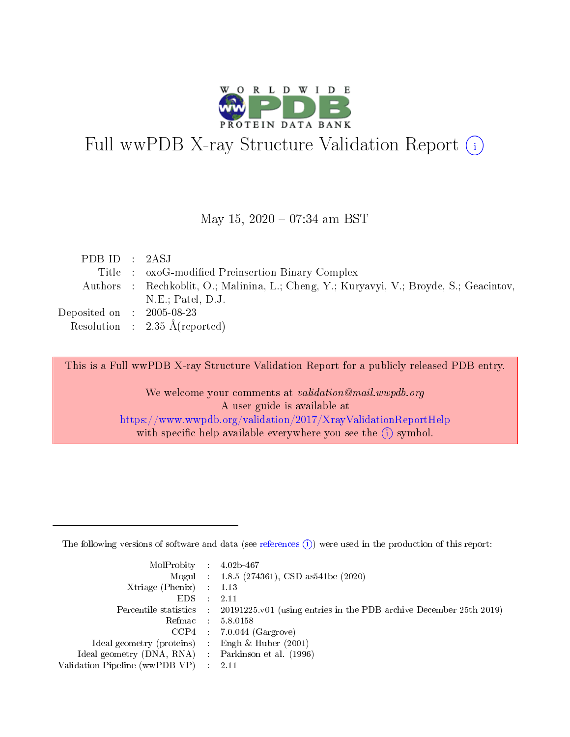

## Full wwPDB X-ray Structure Validation Report (i)

#### May 15,  $2020 - 07:34$  am BST

| PDB ID : 2ASJ                       |                                                                                         |
|-------------------------------------|-----------------------------------------------------------------------------------------|
|                                     | Title : oxoG-modified Preinsertion Binary Complex                                       |
|                                     | Authors : Rechkoblit, O.; Malinina, L.; Cheng, Y.; Kuryavyi, V.; Broyde, S.; Geacintov, |
|                                     | $N.E.;$ Patel, $D.J.$                                                                   |
| Deposited on $\,$ : 2005-08-23 $\,$ |                                                                                         |
|                                     | Resolution : $2.35 \text{ Å}$ (reported)                                                |

This is a Full wwPDB X-ray Structure Validation Report for a publicly released PDB entry.

We welcome your comments at validation@mail.wwpdb.org A user guide is available at <https://www.wwpdb.org/validation/2017/XrayValidationReportHelp> with specific help available everywhere you see the  $(i)$  symbol.

The following versions of software and data (see [references](https://www.wwpdb.org/validation/2017/XrayValidationReportHelp#references)  $(1)$ ) were used in the production of this report:

| $MolProbability$ 4.02b-467                          |               |                                                                                            |
|-----------------------------------------------------|---------------|--------------------------------------------------------------------------------------------|
|                                                     |               | Mogul : $1.8.5$ (274361), CSD as 541be (2020)                                              |
| Xtriage (Phenix) $: 1.13$                           |               |                                                                                            |
| EDS.                                                | $\mathcal{L}$ | -2.11                                                                                      |
|                                                     |               | Percentile statistics : 20191225.v01 (using entries in the PDB archive December 25th 2019) |
|                                                     |               | Refmac $5.8.0158$                                                                          |
| CCP4                                                |               | $7.0.044$ (Gargrove)                                                                       |
| Ideal geometry (proteins)                           | $\sim$        | Engh $\&$ Huber (2001)                                                                     |
| Ideal geometry (DNA, RNA) : Parkinson et al. (1996) |               |                                                                                            |
| Validation Pipeline (wwPDB-VP) : 2.11               |               |                                                                                            |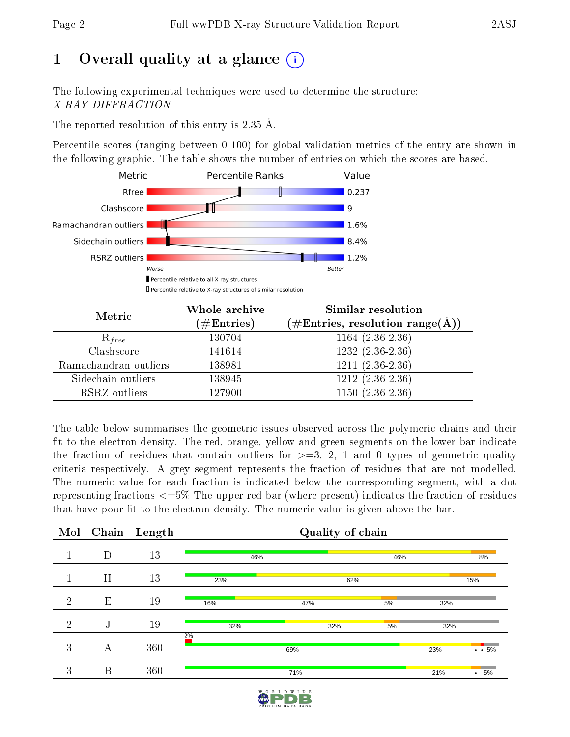## 1 [O](https://www.wwpdb.org/validation/2017/XrayValidationReportHelp#overall_quality)verall quality at a glance  $(i)$

The following experimental techniques were used to determine the structure: X-RAY DIFFRACTION

The reported resolution of this entry is 2.35 Å.

Percentile scores (ranging between 0-100) for global validation metrics of the entry are shown in the following graphic. The table shows the number of entries on which the scores are based.



| Metric                | Whole archive<br>$(\#\text{Entries})$ | Similar resolution<br>$(\#\text{Entries},\, \text{resolution}\; \text{range}(\textup{\AA}))$ |
|-----------------------|---------------------------------------|----------------------------------------------------------------------------------------------|
| $R_{free}$            | 130704                                | $1164(2.36-2.36)$                                                                            |
| Clashscore            | 141614                                | $1232(2.36-2.36)$                                                                            |
| Ramachandran outliers | 138981                                | $\overline{1211}$ $(2.36-2.36)$                                                              |
| Sidechain outliers    | 138945                                | $1212(2.36-2.36)$                                                                            |
| RSRZ outliers         | 127900                                | $1150(2.36-2.36)$                                                                            |

The table below summarises the geometric issues observed across the polymeric chains and their fit to the electron density. The red, orange, yellow and green segments on the lower bar indicate the fraction of residues that contain outliers for  $>=3, 2, 1$  and 0 types of geometric quality criteria respectively. A grey segment represents the fraction of residues that are not modelled. The numeric value for each fraction is indicated below the corresponding segment, with a dot representing fractions <=5% The upper red bar (where present) indicates the fraction of residues that have poor fit to the electron density. The numeric value is given above the bar.

| Mol            | Chain | Length |      | Quality of chain |     |     |                   |
|----------------|-------|--------|------|------------------|-----|-----|-------------------|
|                | D     | 13     | 46%  |                  | 46% |     | 8%                |
|                | H     | 13     | 23%  | 62%              |     |     | 15%               |
| $\overline{2}$ | E     | 19     | 16%  | 47%              | 5%  | 32% |                   |
| $\overline{2}$ | J     | 19     | 32%  | 32%              | 5%  | 32% |                   |
| 3              | А     | 360    | 20/0 | 69%              |     | 23% | $\cdot \cdot 5\%$ |
| 3              | B     | 360    |      | 71%              |     | 21% | 5%<br>$\bullet$   |

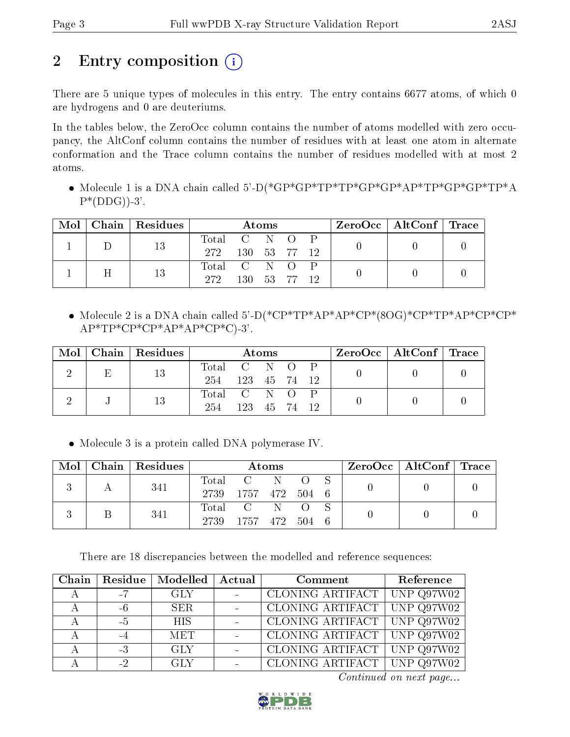## 2 Entry composition  $\left( \cdot \right)$

There are 5 unique types of molecules in this entry. The entry contains 6677 atoms, of which 0 are hydrogens and 0 are deuteriums.

In the tables below, the ZeroOcc column contains the number of atoms modelled with zero occupancy, the AltConf column contains the number of residues with at least one atom in alternate conformation and the Trace column contains the number of residues modelled with at most 2 atoms.

 Molecule 1 is a DNA chain called 5'-D(\*GP\*GP\*TP\*TP\*GP\*GP\*AP\*TP\*GP\*GP\*TP\*A  $P^*(DDG)$ -3'.

|  | $Mol$   Chain   Residues |               |              | Atoms |                 | $\text{ZeroOcc} \mid \text{AltConf} \mid \text{Trace}$ |  |
|--|--------------------------|---------------|--------------|-------|-----------------|--------------------------------------------------------|--|
|  | 13                       | Total C N O P |              |       |                 |                                                        |  |
|  |                          | 272           | 130 53 77 12 |       |                 |                                                        |  |
|  | 13                       | Total C N O P |              |       |                 |                                                        |  |
|  |                          | 272           | 130.         | 53 77 | $\overline{12}$ |                                                        |  |

 Molecule 2 is a DNA chain called 5'-D(\*CP\*TP\*AP\*AP\*CP\*(8OG)\*CP\*TP\*AP\*CP\*CP\*  $AP*TP*CP*CP*AP*AP*CP*C$ -3'.

| Mol | Chain   Residues |               |              | Atoms |  | $\rm ZeroOcc$   Alt $\rm Conf$   Trace |  |
|-----|------------------|---------------|--------------|-------|--|----------------------------------------|--|
|     | 13               | Total C N O P |              |       |  |                                        |  |
|     |                  | 254           | 123 45 74 12 |       |  |                                        |  |
|     | 13               | Total C N O P |              |       |  |                                        |  |
|     |                  | 254           | 123 45 74 12 |       |  |                                        |  |

• Molecule 3 is a protein called DNA polymerase IV.

| Mol | Chain   Residues |                     |                      | Atoms |     | $\text{ZeroOcc} \mid \text{AltConf} \mid \text{Trace}$ |  |
|-----|------------------|---------------------|----------------------|-------|-----|--------------------------------------------------------|--|
|     | 341              |                     | Total C N            |       |     |                                                        |  |
|     |                  | 2739 1757 472 504 6 |                      |       |     |                                                        |  |
|     | 341              |                     | Total C N            |       |     |                                                        |  |
|     |                  | 2739                | - 1757 - 472 - 504 - |       | - 6 |                                                        |  |

There are 18 discrepancies between the modelled and reference sequences:

| Chain |    | Residue   Modelled | Actual | Comment                         | Reference          |
|-------|----|--------------------|--------|---------------------------------|--------------------|
|       | -7 | <b>GLY</b>         |        | CLONING ARTIFACT                | $\mid$ UNP Q97W02  |
|       | -6 | SER.               |        | CLONING ARTIFACT   UNP $Q97W02$ |                    |
|       | -5 | <b>HIS</b>         |        | CLONING ARTIFACT UNP Q97W02     |                    |
|       | -4 | <b>MET</b>         |        | CLONING ARTIFACT   UNP Q97W02   |                    |
|       | -3 | GLY.               |        | CLONING ARTIFACT   UNP Q97W02   |                    |
|       | -2 | <b>GLY</b>         |        | CLONING ARTIFACT                | $\vert$ UNP Q97W02 |

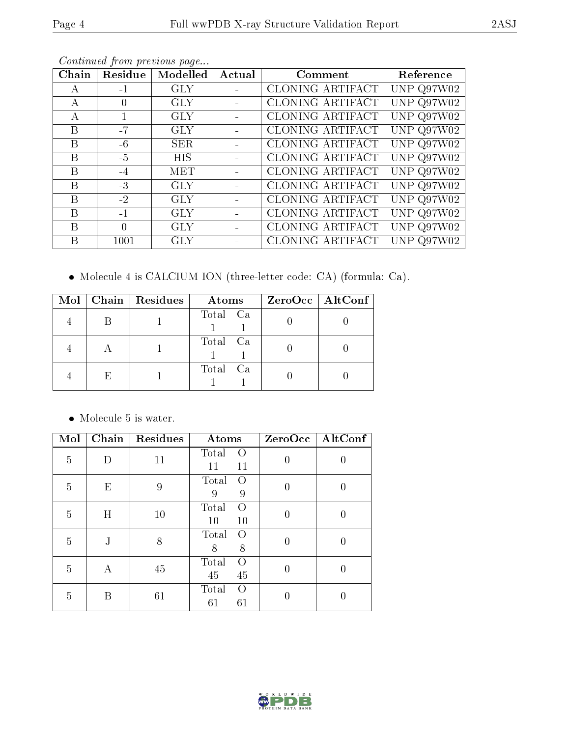| Chain | Residue  | Modelled   | Actual | Comment          | Reference    |
|-------|----------|------------|--------|------------------|--------------|
| A     | $-1$     | <b>GLY</b> |        | CLONING ARTIFACT | UNP $Q97W02$ |
| А     | $\Omega$ | <b>GLY</b> |        | CLONING ARTIFACT | UNP Q97W02   |
| А     |          | <b>GLY</b> |        | CLONING ARTIFACT | UNP $Q97W02$ |
| B     | $-7$     | <b>GLY</b> |        | CLONING ARTIFACT | UNP $Q97W02$ |
| B     | $-6$     | <b>SER</b> |        | CLONING ARTIFACT | UNP Q97W02   |
| B     | $-5$     | <b>HIS</b> |        | CLONING ARTIFACT | UNP $Q97W02$ |
| B     | $-4$     | <b>MET</b> |        | CLONING ARTIFACT | UNP $Q97W02$ |
| B     | $-3$     | <b>GLY</b> |        | CLONING ARTIFACT | UNP $Q97W02$ |
| B     | $-2$     | <b>GLY</b> |        | CLONING ARTIFACT | UNP Q97W02   |
| B     | $-1$     | <b>GLY</b> |        | CLONING ARTIFACT | UNP Q97W02   |
| B     | $\Omega$ | <b>GLY</b> |        | CLONING ARTIFACT | UNP $Q97W02$ |
| B     | 1001     | <b>GLY</b> |        | CLONING ARTIFACT | UNP $Q97W02$ |

Molecule 4 is CALCIUM ION (three-letter code: CA) (formula: Ca).

| Mol |              | Chain   Residues | <b>Atoms</b> | $ZeroOcc$   AltConf |
|-----|--------------|------------------|--------------|---------------------|
|     |              |                  | Total Ca     |                     |
|     |              |                  | Total Ca     |                     |
|     | $\mathsf{H}$ |                  | Total Ca     |                     |

 $\bullet\,$  Molecule 5 is water.

| Mol            | Chain | Residues | Atoms                         | ZeroOcc  | AltConf |
|----------------|-------|----------|-------------------------------|----------|---------|
| $\overline{5}$ | D     | 11       | Total<br>$\Omega$<br>11<br>11 | $\theta$ |         |
| $\overline{5}$ | E     | 9        | Total<br>$\Omega$<br>9<br>9   | $\theta$ |         |
| 5              | H     | 10       | Total<br>$\Omega$<br>10<br>10 | 0        |         |
| 5              | J     | 8        | Total<br>$\Omega$<br>8<br>8   | 0        | 0       |
| $\overline{5}$ | А     | 45       | Total<br>$\Omega$<br>45<br>45 | 0        | 0       |
| 5              | В     | 61       | Total<br>$\Omega$<br>61<br>61 |          |         |

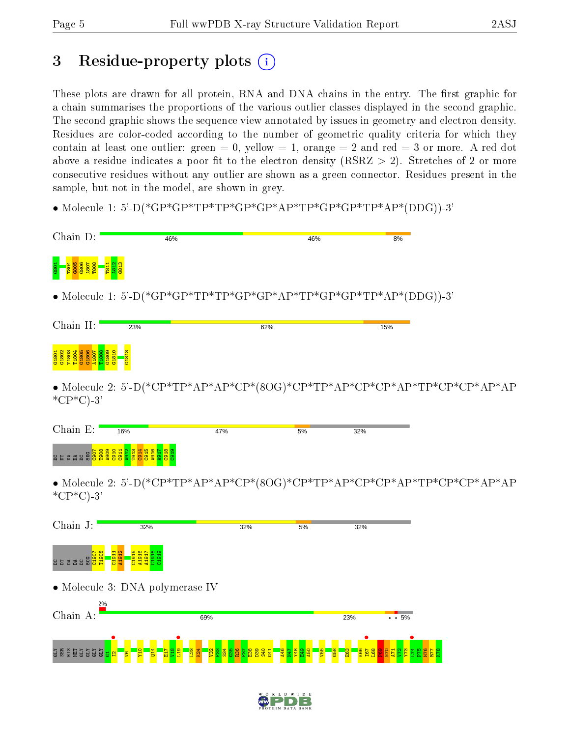## 3 Residue-property plots  $(i)$

These plots are drawn for all protein, RNA and DNA chains in the entry. The first graphic for a chain summarises the proportions of the various outlier classes displayed in the second graphic. The second graphic shows the sequence view annotated by issues in geometry and electron density. Residues are color-coded according to the number of geometric quality criteria for which they contain at least one outlier: green  $= 0$ , yellow  $= 1$ , orange  $= 2$  and red  $= 3$  or more. A red dot above a residue indicates a poor fit to the electron density (RSRZ  $> 2$ ). Stretches of 2 or more consecutive residues without any outlier are shown as a green connector. Residues present in the sample, but not in the model, are shown in grey.

• Molecule 1: 5'-D(\*GP\*GP\*TP\*TP\*GP\*GP\*AP\*TP\*GP\*GP\*TP\*AP\*(DDG))-3'

| Chain D:                    | 46%                                                                       |     | 46% |     | 8% |
|-----------------------------|---------------------------------------------------------------------------|-----|-----|-----|----|
|                             |                                                                           |     |     |     |    |
|                             |                                                                           |     |     |     |    |
|                             | • Molecule 1: 5'-D(*GP*GP*TP*TP*GP*GP*AP*TP*GP*GP*TP*AP*(DDG))-3'         |     |     |     |    |
|                             |                                                                           |     |     |     |    |
| Chain H:                    | 23%                                                                       |     | 62% | 15% |    |
| G <sub>1806</sub><br>0.1805 |                                                                           |     |     |     |    |
| $*CP*C$ -3'                 | • Molecule 2: 5'-D(*CP*TP*AP*AP*CP*(8OG)*CP*TP*AP*CP*CP*AP*TP*CP*CP*AP*AP |     |     |     |    |
|                             |                                                                           |     |     |     |    |
| Chain E:                    | 16%                                                                       | 47% | 5%  | 32% |    |
| $\frac{48}{28}$             | i ga sa sa sa<br>i ga sa sa sa s                                          |     |     |     |    |
| $^*CP^*C$ -3'               | • Molecule 2: 5'-D(*CP*TP*AP*AP*CP*(8OG)*CP*TP*AP*CP*CP*AP*TP*CP*CP*AP*AP |     |     |     |    |



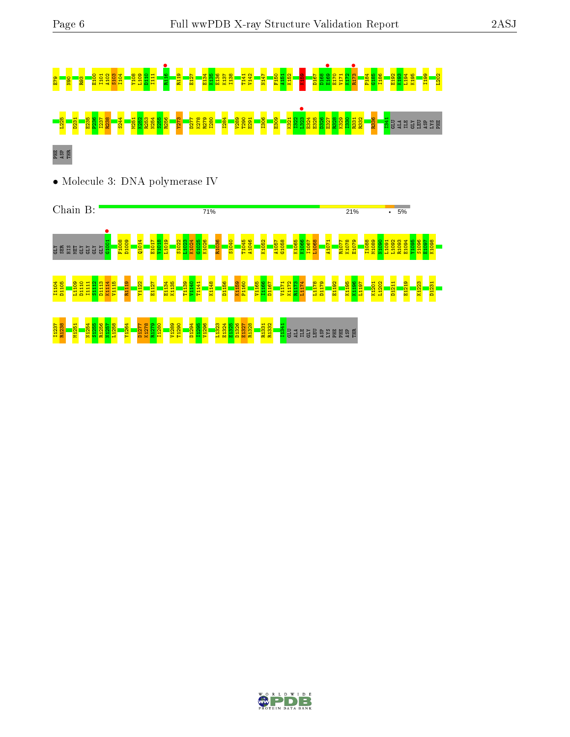# E79 N90 R93 E100 I101 A102 S103 I104 Y108 L109 D110 I111 R116 • R119 E127 E134 K135 E136 K137 I138 T141 V142 N147 F150 A151 K152 K159 D167 D168 E169 • E170 V171 K172 R173 • P184 G185 I186 E192 K193 L194 K195 I199 L202 L2<mark>3 D23</mark><br>8 N25<mark>1 E236 S256 P33 N263 S255 R25 N25 P28 N255 R279 E29 T200 E29 T200 E291 R328 R270 E292 E291 I306 E328 E32<br>2 N25 R322 R328 R328 E326 R328 R328 E328 E328 E328 R331 R332 R336 R336 R336 R332 R331 R34 E331 B325 E</mark> PHE ASP THR

• Molecule 3: DNA polymerase IV



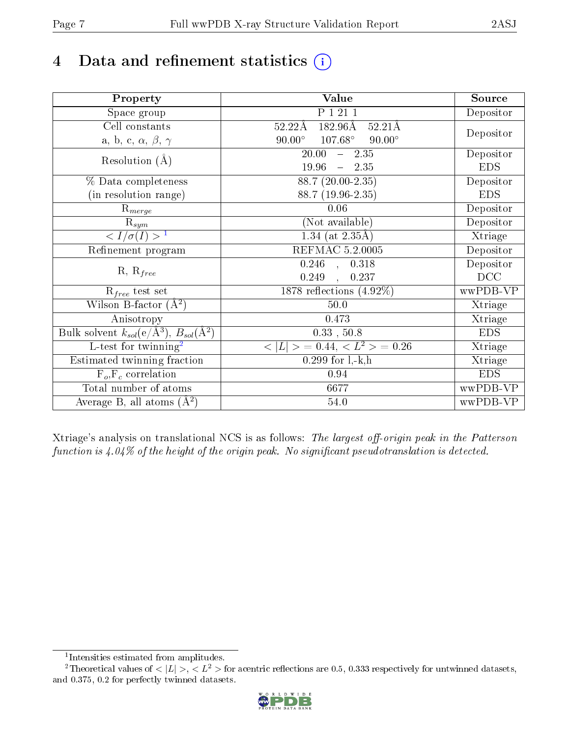## 4 Data and refinement statistics  $(i)$

| Property                                                             | Value                                                        | Source     |
|----------------------------------------------------------------------|--------------------------------------------------------------|------------|
| Space group                                                          | P 1 21 1                                                     | Depositor  |
| Cell constants                                                       | $182.96\text{\AA}$<br>$52.22\text{\AA}$<br>$52.21\text{\AA}$ |            |
| a, b, c, $\alpha$ , $\beta$ , $\gamma$                               | $90.00^\circ$<br>$107.68^\circ$<br>$90.00^\circ$             | Depositor  |
| Resolution $(A)$                                                     | 20.00<br>$-2.35$                                             | Depositor  |
|                                                                      | 19.96<br>$-2.35$                                             | <b>EDS</b> |
| % Data completeness                                                  | 88.7 (20.00-2.35)                                            | Depositor  |
| (in resolution range)                                                | 88.7 (19.96-2.35)                                            | <b>EDS</b> |
| $R_{merge}$                                                          | 0.06                                                         | Depositor  |
| $\mathrm{R}_{sym}$                                                   | (Not available)                                              | Depositor  |
| $\sqrt{I/\sigma(I)} > 1$                                             | 1.34 (at $2.35\text{\AA}$ )                                  | Xtriage    |
| Refinement program                                                   | REFMAC 5.2.0005                                              | Depositor  |
|                                                                      | $\overline{0.246}$ ,<br>0.318                                | Depositor  |
| $R, R_{free}$                                                        | 0.249<br>0.237<br>$\ddot{\phantom{a}}$                       | DCC        |
| $\mathcal{R}_{free}$ test set                                        | 1878 reflections $(4.92\%)$                                  | wwPDB-VP   |
| Wilson B-factor $(A^2)$                                              | $50.0$                                                       | Xtriage    |
| Anisotropy                                                           | 0.473                                                        | Xtriage    |
| Bulk solvent $k_{sol}(e/\mathring{A}^3)$ , $B_{sol}(\mathring{A}^2)$ | $0.33$ , $50.8$                                              | <b>EDS</b> |
| L-test for twinning <sup>2</sup>                                     | $< L >$ = 0.44, $< L2$ = 0.26                                | Xtriage    |
| Estimated twinning fraction                                          | $0.299$ for $1, -k, h$                                       | Xtriage    |
| $F_o, F_c$ correlation                                               | 0.94                                                         | <b>EDS</b> |
| Total number of atoms                                                | 6677                                                         | wwPDB-VP   |
| Average B, all atoms $(A^2)$                                         | 54.0                                                         | wwPDB-VP   |

Xtriage's analysis on translational NCS is as follows: The largest off-origin peak in the Patterson function is  $4.04\%$  of the height of the origin peak. No significant pseudotranslation is detected.

<sup>&</sup>lt;sup>2</sup>Theoretical values of  $\langle |L| \rangle$ ,  $\langle L^2 \rangle$  for acentric reflections are 0.5, 0.333 respectively for untwinned datasets, and 0.375, 0.2 for perfectly twinned datasets.



<span id="page-6-1"></span><span id="page-6-0"></span><sup>1</sup> Intensities estimated from amplitudes.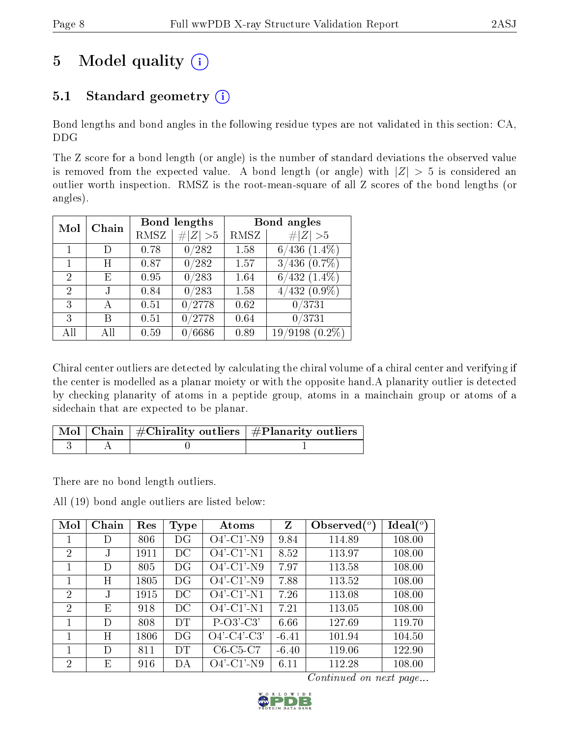## 5 Model quality  $(i)$

## 5.1 Standard geometry  $(i)$

Bond lengths and bond angles in the following residue types are not validated in this section: CA, DDG

The Z score for a bond length (or angle) is the number of standard deviations the observed value is removed from the expected value. A bond length (or angle) with  $|Z| > 5$  is considered an outlier worth inspection. RMSZ is the root-mean-square of all Z scores of the bond lengths (or angles).

| Mol            | Chain           |             | Bond lengths | Bond angles |                        |  |  |
|----------------|-----------------|-------------|--------------|-------------|------------------------|--|--|
|                |                 | <b>RMSZ</b> | # $ Z  > 5$  | RMSZ        | # $ Z  > 5$            |  |  |
| 1              | D               | 0.78        | 0/282        | 1.58        | $6/436$ $(1.4\%)$      |  |  |
| $\mathbf{1}$   | Η               | 0.87        | 0/282        | 1.57        | $3/436$ $(0.7\%)$      |  |  |
| $\overline{2}$ | Е               | 0.95        | 0/283        | 1.64        | $6/432$ $(1.4\%)$      |  |  |
| $\overline{2}$ |                 | 0.84        | 0/283        | 1.58        | $\frac{4}{432}$ (0.9%) |  |  |
| 3              | А               | 0.51        | 0/2778       | 0.62        | 0/3731                 |  |  |
| 3              | В               | 0.51        | 0/2778       | 0.64        | 0/3731                 |  |  |
| All            | A <sub>II</sub> | 0.59        | 0/6686       | 0.89        | $/9198(0.2\%)$<br>19   |  |  |

Chiral center outliers are detected by calculating the chiral volume of a chiral center and verifying if the center is modelled as a planar moiety or with the opposite hand.A planarity outlier is detected by checking planarity of atoms in a peptide group, atoms in a mainchain group or atoms of a sidechain that are expected to be planar.

|  | $\sqrt{\text{Mol}}$ Chain $\frac{1}{2}$ Chirality outliers $\frac{1}{2}$ Planarity outliers $\frac{1}{2}$ |
|--|-----------------------------------------------------------------------------------------------------------|
|  |                                                                                                           |

There are no bond length outliers.

All (19) bond angle outliers are listed below:

| Mol            | Chain      | Res  | Type | Atoms          | $\mathbf{Z}$ | Observed $\binom{o}{c}$ | $Ideal(^o)$ |
|----------------|------------|------|------|----------------|--------------|-------------------------|-------------|
|                | D          | 806  | DG   | $O4'$ -C1'-N9  | 9.84         | 114.89                  | 108.00      |
| 2              | $_{\rm J}$ | 1911 | DC   | $O4'$ -C1'-N1  | 8.52         | 113.97                  | 108.00      |
|                | D          | 805  | DG   | $O4'$ -C1'-N9  | 7.97         | 113.58                  | 108.00      |
|                | Η          | 1805 | DG   | $O4'$ -C1'-N9  | 7.88         | 113.52                  | 108.00      |
| $\overline{2}$ | $_{\rm J}$ | 1915 | DC   | $O4'$ -C1'-N1  | 7.26         | 113.08                  | 108.00      |
| $\overline{2}$ | Ε          | 918  | DC   | $O4'$ -C1'-N1  | 7.21         | 113.05                  | 108.00      |
| 1              | D          | 808  | DT   | $P-O3'-C3'$    | 6.66         | 127.69                  | 119.70      |
|                | Η          | 1806 | DG   | $O4'$ -C4'-C3' | $-6.41$      | 101.94                  | 104.50      |
|                | D          | 811  | DT   | $C6-C5-C7$     | $-6.40$      | 119.06                  | 122.90      |
| $\overline{2}$ | Ε          | 916  | DА   | $O4'$ -C1'-N9  | 6.11         | 112.28                  | 108.00      |

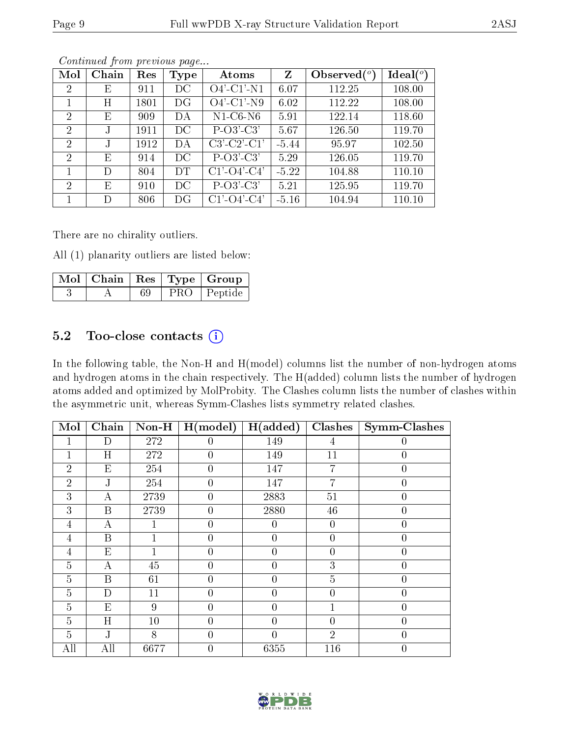|--|--|

| Mol            | Chain | Res  | <b>Type</b> | Atoms                 | Z       | Observed $(°)$ | $Ideal(^o)$ |
|----------------|-------|------|-------------|-----------------------|---------|----------------|-------------|
| $\overline{2}$ | E     | 911  | DC          | $O4'$ -C1'-N1         | 6.07    | 112.25         | 108.00      |
|                | Η     | 1801 | DG          | $O4'$ -C1'-N9         | 6.02    | 112.22         | 108.00      |
| $\overline{2}$ | Е     | 909  | DA          | $N1-C6-N6$            | 5.91    | 122.14         | 118.60      |
| $\overline{2}$ |       | 1911 | DC          | $P-O3'-C3'$           | 5.67    | 126.50         | 119.70      |
| $\overline{2}$ |       | 1912 | DA          | $C3-C2-C1$            | $-5.44$ | 95.97          | 102.50      |
| $\overline{2}$ | E     | 914  | DC          | $P-O3'-C3'$           | 5.29    | 126.05         | 119.70      |
|                | D     | 804  | DT          | $C1'$ - $O4'$ - $C4'$ | $-5.22$ | 104.88         | 110.10      |
| $\overline{2}$ | E     | 910  | DC          | $P-O3'-C3'$           | 5.21    | 125.95         | 119.70      |
|                | D     | 806  | DG          | $C1'$ - $O4'$ - $C4'$ | $-5.16$ | 104.94         | 110.10      |

There are no chirality outliers.

All (1) planarity outliers are listed below:

|  |  | $\mid$ Mol $\mid$ Chain $\mid$ Res $\mid$ Type $\mid$ Group |
|--|--|-------------------------------------------------------------|
|  |  | PRO   Peptide                                               |

#### 5.2 Too-close contacts  $(i)$

In the following table, the Non-H and H(model) columns list the number of non-hydrogen atoms and hydrogen atoms in the chain respectively. The H(added) column lists the number of hydrogen atoms added and optimized by MolProbity. The Clashes column lists the number of clashes within the asymmetric unit, whereas Symm-Clashes lists symmetry related clashes.

| Mol            | Chain                     | $\bf Non-H$ | H (model)        | H(added)       | Clashes        | Symm-Clashes     |
|----------------|---------------------------|-------------|------------------|----------------|----------------|------------------|
|                | D                         | 272         | $\left( \right)$ | 149            | 4              |                  |
|                | H                         | 272         | $\overline{0}$   | 149            | 11             | $\boldsymbol{0}$ |
| $\overline{2}$ | E                         | 254         | $\overline{0}$   | 147            | 7              | 0                |
| $\overline{2}$ | J                         | 254         | $\overline{0}$   | 147            | 7              | $\boldsymbol{0}$ |
| 3              | $\boldsymbol{\mathrm{A}}$ | 2739        | $\overline{0}$   | 2883           | 51             | $\overline{0}$   |
| 3              | B                         | 2739        | $\theta$         | 2880           | 46             | 0                |
| 4              | А                         |             | $\theta$         | 0              | $\overline{0}$ | 0                |
| 4              | B                         |             | $\overline{0}$   | $\overline{0}$ | $\overline{0}$ | $\overline{0}$   |
| 4              | E                         |             | $\theta$         | $\theta$       | $\overline{0}$ | 0                |
| $\overline{5}$ | А                         | 45          | $\overline{0}$   | $\theta$       | 3              | 0                |
| $\overline{5}$ | B                         | 61          | $\theta$         | $\theta$       | $\overline{5}$ | $\overline{0}$   |
| $\overline{5}$ | D                         | 11          | $\theta$         | $\theta$       | $\overline{0}$ | 0                |
| 5              | E                         | 9           | $\theta$         | 0              | 1              | 0                |
| $\overline{5}$ | H                         | 10          | $\overline{0}$   | $\overline{0}$ | $\overline{0}$ | $\overline{0}$   |
| $\overline{5}$ | J                         | 8           | $\overline{0}$   | $\overline{0}$ | $\overline{2}$ | 0                |
| All            | All                       | 6677        | $\overline{0}$   | 6355           | 116            | 0                |

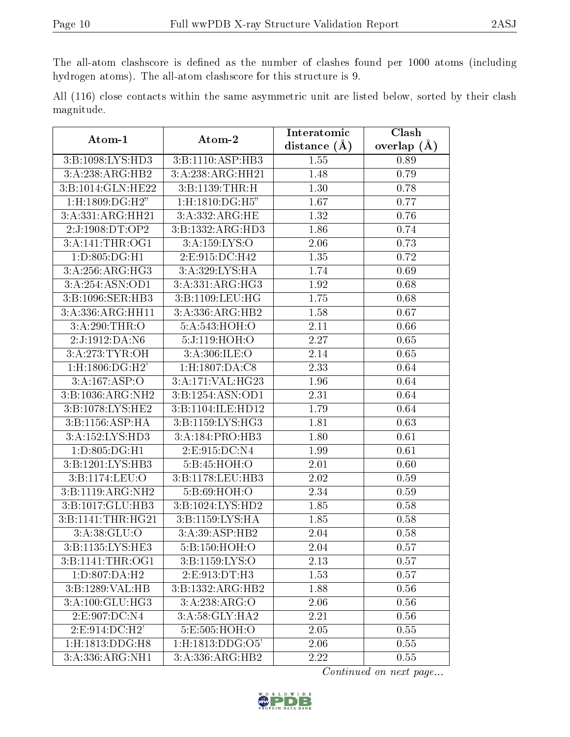The all-atom clashscore is defined as the number of clashes found per 1000 atoms (including hydrogen atoms). The all-atom clashscore for this structure is 9.

|            |  |  | All (116) close contacts within the same asymmetric unit are listed below, sorted by their clash |  |  |  |  |
|------------|--|--|--------------------------------------------------------------------------------------------------|--|--|--|--|
| magnitude. |  |  |                                                                                                  |  |  |  |  |

| $\boldsymbol{\mathrm{Atom}\text{-}1}$   | Atom-2             | Interatomic       | Clash         |  |  |
|-----------------------------------------|--------------------|-------------------|---------------|--|--|
|                                         |                    | distance $(A)$    | overlap $(A)$ |  |  |
| 3:B:1098:LYS:HD3                        | 3:B:1110:ASP:HB3   | 1.55              | 0.89          |  |  |
| 3:A:238:ARG:HB2                         | 3:A:238:ARG:HH21   | 1.48              | 0.79          |  |  |
| 3:B:1014:GLN:HE22                       | 3:B:1139:THR:H     | 1.30              | 0.78          |  |  |
| 1:H:1809:DG:H2"                         | $1:$ H:1810:DG:H5" | 1.67              | 0.77          |  |  |
| 3:A:331:ARG:HH21                        | 3: A: 332: ARG: HE | 1.32              | 0.76          |  |  |
| 2:J:1908:DT:OP2                         | 3:B:1332:ARG:HD3   | 1.86              | 0.74          |  |  |
| 3: A:141:THR:OG1                        | 3:A:159:LYS:O      | 2.06              | 0.73          |  |  |
| 1:D:805:DG:H1                           | 2:E:915:DC:H42     | 1.35              | 0.72          |  |  |
| 3:A:256:ARG:HG3                         | 3:A:329:LYS:HA     | 1.74              | 0.69          |  |  |
| 3:A:254:ASN:OD1                         | 3:A:331:ARG:HG3    | 1.92              | 0.68          |  |  |
| 3:B:1096:SER:HB3                        | 3:B:1109:LEU:HG    | 1.75              | 0.68          |  |  |
| 3:A:336:ARG:HH11                        | 3:A:336:ARG:HB2    | 1.58              | 0.67          |  |  |
| 3:A:290:THR:O                           | 5:A:543:HOH:O      | 2.11              | 0.66          |  |  |
| 2:J:1912:DA:N6                          | 5:J:119:HOH:O      | 2.27              | 0.65          |  |  |
| 3:A:273:TYR:OH                          | 3:A:306:ILE:O      | 2.14              | 0.65          |  |  |
| $1:$ H:1806:DG:H2'                      | 1:H:1807:DA:C8     | 2.33              | 0.64          |  |  |
| 3:A:167:ASP:O                           | 3:A:171:VAL:HG23   | 1.96              | 0.64          |  |  |
| 3:B:1036:ARG:NH2                        | 3:B:1254:ASN:OD1   | 2.31              | 0.64          |  |  |
| 3:B:1078:LYS:HE2                        | 3:B:1104:ILE:HD12  | 1.79              | 0.64          |  |  |
| 3:B:1156:ASP:HA                         | 3:B:1159:LYS:HG3   | 1.81              | 0.63          |  |  |
| 3:A:152:LYS:HD3                         | 3:A:184:PRO:HB3    | 1.80              | 0.61          |  |  |
| 1:D:805:DG:H1                           | 2:E:915:DC:N4      | 1.99              | 0.61          |  |  |
| 3:B:1201:LYS:HB3                        | 5:B:45:HOH:O       | 2.01              | 0.60          |  |  |
| 3:B:1174:LEU:O                          | 3:B:1178:LEU:HB3   | 2.02              | 0.59          |  |  |
| 3:B:1119:ARG:NH2                        | 5:B:69:HOH:O       | 2.34              | 0.59          |  |  |
| 3:B:1017:GLU:HB3                        | 3:B:1024:LYS:HD2   | 1.85              | 0.58          |  |  |
| 3:B:1141:THR:HG21                       | 3:B:1159:LYS:HA    | 1.85              | 0.58          |  |  |
| 3:A:38:GLU:O                            | 3:A:39:ASP:HB2     | 2.04              | 0.58          |  |  |
| 3: B: 1135: LYS: HE3                    | 5:B:150:HOH:O      | $\overline{2.04}$ | 0.57          |  |  |
| 3:B:1141:THR:OG1                        | 3:B:1159:LYS:O     | 2.13              | 0.57          |  |  |
| 1:D:807:DA:H2                           | 2:E:913:DT:H3      | 1.53              | 0.57          |  |  |
| 3:B:1289:VAL:HB                         | 3:B:1332:ARG:HB2   | 1.88              | 0.56          |  |  |
| 3:A:100:GLU:HG3                         | 3:A:238:ARG:O      | 2.06              | 0.56          |  |  |
| 2:E:907:DC:NA                           | 3:A:58:GLY:HA2     | 2.21              | 0.56          |  |  |
| 2:E:914:DC:H2'                          | 5:E:505:HOH:O      | 2.05              | 0.55          |  |  |
| $1:$ H:1813: $\overline{\text{DDG:H8}}$ | 1:H:1813:DDG:O5'   | 2.06              | 0.55          |  |  |
| 3:A:336:ARG:NH1                         | 3:A:336:ARG:HB2    | 2.22              | 0.55          |  |  |

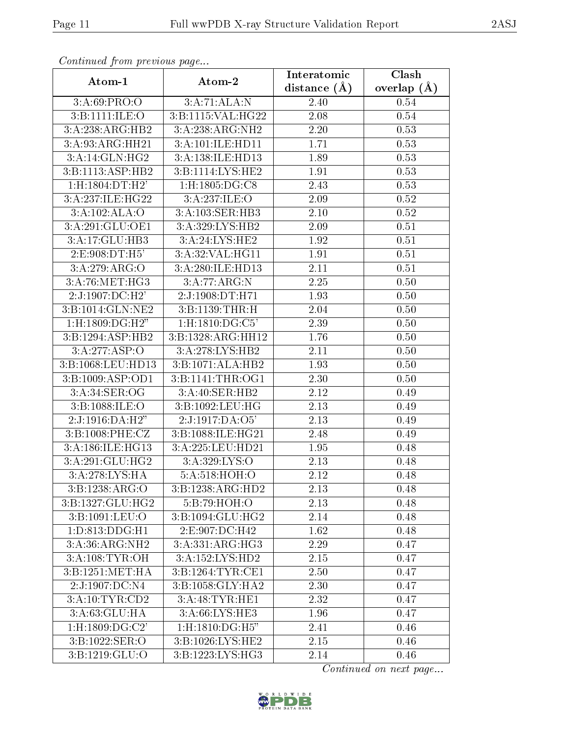| Atom-1               | Atom-2             | Interatomic      | <b>Clash</b>  |
|----------------------|--------------------|------------------|---------------|
|                      |                    | distance $(\AA)$ | overlap $(A)$ |
| 3:A:69:PRO:O         | 3:A:71:ALA:N       | 2.40             | 0.54          |
| 3:B:1111:ILE:O       | 3:B:1115:VAL:HG22  | 2.08             | 0.54          |
| 3:A:238:ARG:HB2      | 3:A:238:ARG:NH2    | 2.20             | 0.53          |
| 3:A:93:ARG:HH21      | 3:A:101:ILE:HD11   | 1.71             | 0.53          |
| 3:A:14:GLN:HG2       | 3:A:138:ILE:HD13   | 1.89             | 0.53          |
| 3: B: 1113: ASP: HB2 | 3:B:1114:LYS:HE2   | 1.91             | 0.53          |
| 1:H:1804:DT:H2'      | 1:H:1805:DG:C8     | 2.43             | 0.53          |
| 3:A:237:ILE:HG22     | 3:A:237:ILE:O      | 2.09             | 0.52          |
| 3:A:102:ALA:O        | 3:A:103:SER:HB3    | 2.10             | 0.52          |
| 3:A:291:GLU:OE1      | 3: A:329: LYS: HB2 | 2.09             | 0.51          |
| 3:A:17:GLU:HB3       | 3:A:24:LYS:HE2     | 1.92             | 0.51          |
| 2:E:908:DT:H5'       | 3:A:32:VAL:HG11    | 1.91             | 0.51          |
| 3:A:279:ARG:O        | 3:A:280:ILE:HD13   | 2.11             | 0.51          |
| 3:A:76:MET:HG3       | 3:A:77:ARG:N       | 2.25             | 0.50          |
| 2:J:1907:DC:H2'      | 2:J:1908:DT:H71    | 1.93             | 0.50          |
| 3:B:1014:GLN:NE2     | 3:B:1139:THR:H     | 2.04             | 0.50          |
| $1:$ H:1809:DG:H2"   | 1:H:1810:DG:C5'    | 2.39             | 0.50          |
| 3:B:1294:ASP:HB2     | 3:B:1328:ARG:HH12  | 1.76             | 0.50          |
| 3:A:277:ASP:O        | 3:A:278:LYS:HB2    | 2.11             | 0.50          |
| 3:B:1068:LEU:HD13    | 3:B:1071:ALA:HB2   | 1.93             | 0.50          |
| 3:B:1009:ASP:OD1     | 3:B:1141:THR:OG1   | 2.30             | 0.50          |
| 3:A:34:SER:OG        | 3:A:40:SER:HB2     | 2.12             | 0.49          |
| 3:B:1088:ILE:O       | 3:B:1092:LEU:HG    | 2.13             | 0.49          |
| 2:J:1916:DA:H2"      | 2:J:1917:DA:O5'    | 2.13             | 0.49          |
| 3: B:1008:PHE: CZ    | 3:B:1088:ILE:HG21  | 2.48             | 0.49          |
| 3:A:186:ILE:HG13     | 3:A:225:LEU:HD21   | 1.95             | 0.48          |
| 3:A:291:GLU:HG2      | 3: A:329: LYS:O    | 2.13             | 0.48          |
| 3:A:278:LYS:HA       | 5:A:518:HOH:O      | 2.12             | 0.48          |
| 3:B:1238:ARG:O       | 3:B:1238:ARG:HD2   | 2.13             | 0.48          |
| 3:B:1327:GLU:HG2     | 5:B:79:HOH:O       | 2.13             | 0.48          |
| 3:B:1091:LEU:O       | 3:B:1094:GLU:HG2   | 2.14             | 0.48          |
| 1: D: 813: DDG: H1   | 2:E:907:DC:H42     | 1.62             | 0.48          |
| 3:A:36:ARG:NH2       | 3:A:331:ARG:HG3    | 2.29             | 0.47          |
| 3:A:108:TYR:OH       | 3:A:152:LYS:HD2    | $2.15\,$         | 0.47          |
| 3:B:1251:MET:HA      | 3:B:1264:TYR:CE1   | 2.50             | 0.47          |
| 2:J:1907:DC:N4       | 3:B:1058:GLY:HA2   | 2.30             | 0.47          |
| 3:A:10:TYR:CD2       | 3:A:48:TYR:HE1     | 2.32             | 0.47          |
| 3:A:63:GLU:HA        | 3:A:66:LYS:HE3     | 1.96             | 0.47          |
| 1:H:1809:DG:C2'      | 1:H:1810:DG:H5"    | 2.41             | 0.46          |
| 3:B:1022:SER:O       | 3:B:1026:LYS:HE2   | 2.15             | 0.46          |
| 3:B:1219:GLU:O       | 3:B:1223:LYS:HG3   | 2.14             | 0.46          |

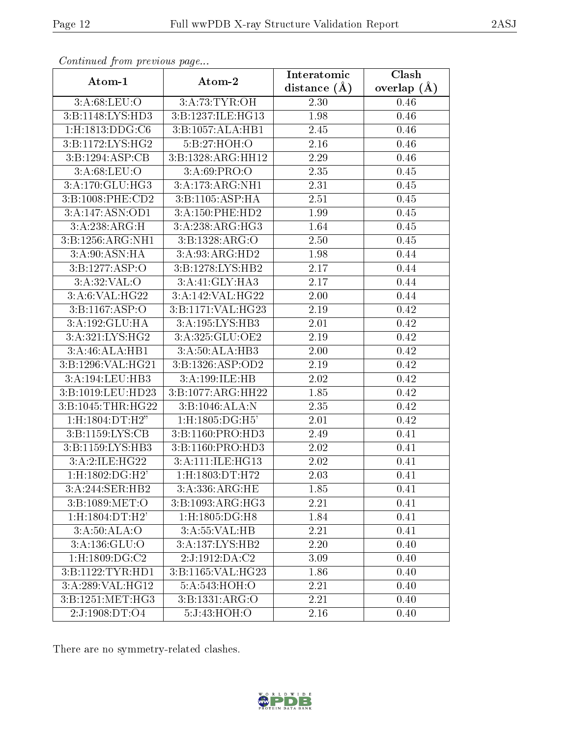| Atom-1             | Atom-2                      | Interatomic      | Clash         |
|--------------------|-----------------------------|------------------|---------------|
|                    |                             | distance $(\AA)$ | overlap $(A)$ |
| 3:A:68:LEU:O       | 3:A:73:TYR:OH               | 2.30             | 0.46          |
| 3:B:1148:LYS:HD3   | 3:B:1237:ILE:HG13           | 1.98             | 0.46          |
| $1:$ H:1813:DDG:C6 | 3:B:1057:ALA:HB1            | 2.45             | 0.46          |
| 3:B:1172:LYS:HG2   | 5:B:27:HOH:O                | 2.16             | 0.46          |
| 3:B:1294:ASP:CB    | 3:B:1328:ARG:HH12           | 2.29             | 0.46          |
| 3:A:68:LEU:O       | 3: A:69: PRO:O              | 2.35             | 0.45          |
| 3:A:170:GLU:HG3    | 3:A:173:ARG:NH1             | 2.31             | 0.45          |
| 3:B:1008:PHE:CD2   | 3:B:1105:ASP:HA             | 2.51             | 0.45          |
| 3:A:147:ASN:OD1    | 3:A:150:PHE:HD2             | 1.99             | 0.45          |
| 3:A:238:ARG:H      | 3:A:238:ARG:HG3             | 1.64             | 0.45          |
| 3:B:1256:ARG:NH1   | 3:B:1328:ARG:O              | 2.50             | 0.45          |
| 3:A:90:ASN:HA      | 3:A:93:ARG:HD2              | 1.98             | 0.44          |
| 3:B:1277:ASP:O     | 3:B:1278:LYS:HB2            | 2.17             | 0.44          |
| 3:A:32:VAL:O       | 3:A:41:GLY:HA3              | 2.17             | 0.44          |
| 3:A:6:VAL:HG22     | 3:A:142:VAL:HG22            | 2.00             | 0.44          |
| 3:B:1167:ASP:O     | 3:B:1171:VAL:HG23           | 2.19             | 0.42          |
| 3:A:192:GLU:HA     | 3:A:195:LYS:HB3             | 2.01             | 0.42          |
| 3:A:321:LYS:HG2    | 3:A:325:GLU:OE2             | 2.19             | 0.42          |
| 3:A:46:ALA:HB1     | $3:A:50:ALA:\overline{HB3}$ | 2.00             | 0.42          |
| 3:B:1296:VAL:HG21  | 3:B:1326:ASP:OD2            | 2.19             | 0.42          |
| 3:A:194:LEU:HB3    | 3:A:199:ILE:HB              | 2.02             | 0.42          |
| 3:B:1019:LEU:HD23  | 3:B:1077:ARG:HH22           | 1.85             | 0.42          |
| 3:B:1045:THR:HG22  | 3:B:1046:ALA:N              | 2.35             | 0.42          |
| 1:H:1804:DT:H2"    | 1:H:1805:DG:H5'             | 2.01             | 0.42          |
| 3:B:1159:LYS:CB    | 3:B:1160:PRO:HD3            | 2.49             | $0.41\,$      |
| 3:B:1159:LYS:HB3   | 3:B:1160:PRO:HD3            | 2.02             | 0.41          |
| 3:A:2:ILE:HG22     | 3:A:111:ILE:HG13            | 2.02             | 0.41          |
| 1:H:1802:DG:H2'    | 1:H:1803:DT:H72             | 2.03             | 0.41          |
| 3:A:244:SER:HB2    | $3:$ A:336:ARG:HE           | 1.85             | 0.41          |
| 3:B:1089:MET:O     | 3:B:1093:ARG:HG3            | 2.21             | 0.41          |
| 1:H:1804:DT:H2'    | 1:H:1805:DG:H8              | 1.84             | 0.41          |
| 3:A:50:ALA:O       | 3:A:55:VAL:HB               | 2.21             | 0.41          |
| 3:A:136:GLU:O      | 3:A:137:LYS:HB2             | 2.20             | 0.40          |
| $1:$ H:1809:DG:C2  | 2:J:1912:DA:C2              | 3.09             | 0.40          |
| 3:B:1122:TYR:HD1   | 3:B:1165:VAL:HG23           | 1.86             | 0.40          |
| 3:A:289:VAL:HG12   | 5:A:543:HOH:O               | 2.21             | 0.40          |
| 3:B:1251:MET:HG3   | 3:B:1331:ARG:O              | 2.21             | 0.40          |
| 2:J:1908:DT:O4     | 5:J:43:HOH:O                | 2.16             | 0.40          |

There are no symmetry-related clashes.

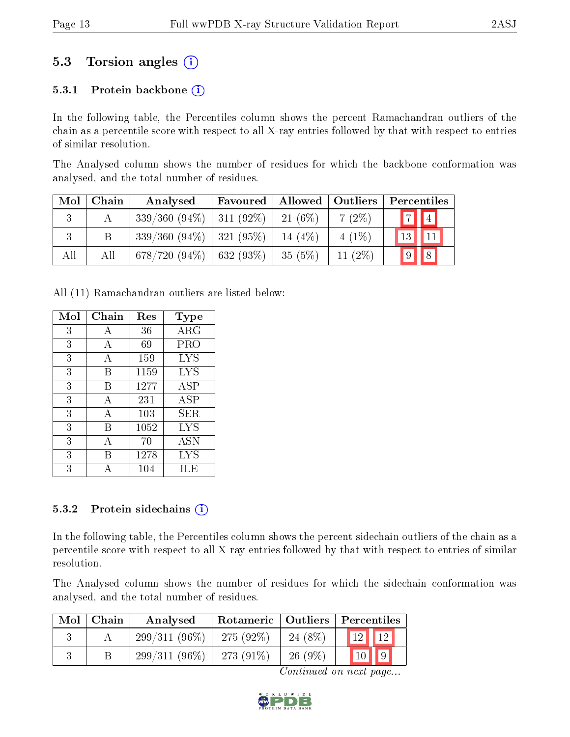### 5.3 Torsion angles (i)

#### 5.3.1 Protein backbone  $(i)$

In the following table, the Percentiles column shows the percent Ramachandran outliers of the chain as a percentile score with respect to all X-ray entries followed by that with respect to entries of similar resolution.

The Analysed column shows the number of residues for which the backbone conformation was analysed, and the total number of residues.

| Mol | Chain | Analysed                      | Favoured | Allowed   Outliers |            | Percentiles                  |
|-----|-------|-------------------------------|----------|--------------------|------------|------------------------------|
| 3   |       | $339/360$ (94\%)   311 (92\%) |          | $21(6\%)$          | $7(2\%)$   | $\boxed{7}$ $\boxed{4}$      |
| 3   |       | $339/360$ (94\%)   321 (95\%) |          | 14 $(4%)$          | $4(1\%)$   | 13<br>$\vert$ 11             |
| All | All   | $678/720 (94\%)$ 632 (93\%)   |          | $-35(5%)$          | 11 $(2\%)$ | $\overline{9}$<br>$\sqrt{8}$ |

All (11) Ramachandran outliers are listed below:

| Mol | Chain | $\operatorname{Res}% \left( \mathcal{N}\right) \equiv\operatorname*{Res}\left( \mathcal{N}\right)$ | <b>Type</b>       |
|-----|-------|----------------------------------------------------------------------------------------------------|-------------------|
| 3   | А     | 36                                                                                                 | ARG               |
| 3   | А     | 69                                                                                                 | PRO               |
| 3   | А     | 159                                                                                                | LYS               |
| 3   | Β     | 1159                                                                                               | LYS               |
| 3   | В     | 1277                                                                                               | ASP               |
| 3   | А     | 231                                                                                                | ASP               |
| 3   | Α     | 103                                                                                                | ${\rm SER}$       |
| 3   | В     | 1052                                                                                               | <b>LYS</b>        |
| 3   | А     | 70                                                                                                 | ASN               |
| 3   | В     | 1278                                                                                               | $_{\mathrm{LYS}}$ |
| 3   |       | 104                                                                                                | ILE               |

#### 5.3.2 Protein sidechains  $(i)$

In the following table, the Percentiles column shows the percent sidechain outliers of the chain as a percentile score with respect to all X-ray entries followed by that with respect to entries of similar resolution.

The Analysed column shows the number of residues for which the sidechain conformation was analysed, and the total number of residues.

| Mol | Chain | Analysed        |              |           | Rotameric   Outliers   Percentiles |  |  |
|-----|-------|-----------------|--------------|-----------|------------------------------------|--|--|
|     |       | $299/311(96\%)$ | $275(92\%)$  | 24 (8\%)  | 10 <sup>1</sup><br>19 <sub>1</sub> |  |  |
|     |       | $299/311(96\%)$ | 273 $(91\%)$ | $26(9\%)$ |                                    |  |  |

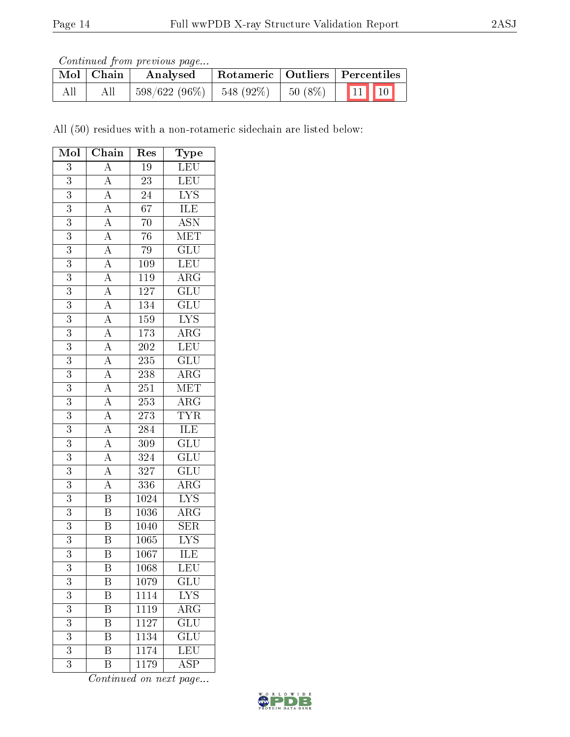Continued from previous page...

|     | $\mid$ Mol $\mid$ Chain | Analysed                   | Rotameric   Outliers   Percentiles |                           |
|-----|-------------------------|----------------------------|------------------------------------|---------------------------|
| All | All                     | $598/622(96\%)$ 548 (92\%) | $50(8\%)$                          | $\boxed{11}$ $\boxed{10}$ |

All (50) residues with a non-rotameric sidechain are listed below:

| Mol            | Chain                                                                                                                                                                                                                                                                                                                                                                                                                     | Res               | Type                      |
|----------------|---------------------------------------------------------------------------------------------------------------------------------------------------------------------------------------------------------------------------------------------------------------------------------------------------------------------------------------------------------------------------------------------------------------------------|-------------------|---------------------------|
| 3              | $\overline{A}$                                                                                                                                                                                                                                                                                                                                                                                                            | $19\,$            | LEU                       |
| $\overline{3}$ |                                                                                                                                                                                                                                                                                                                                                                                                                           | $\overline{23}$   | $\overline{\textrm{LEU}}$ |
| 3              |                                                                                                                                                                                                                                                                                                                                                                                                                           | $\overline{24}$   | $\overline{\text{LYS}}$   |
| $\overline{3}$ |                                                                                                                                                                                                                                                                                                                                                                                                                           | $\overline{67}$   | <b>ILE</b>                |
| $\overline{3}$ |                                                                                                                                                                                                                                                                                                                                                                                                                           | $\overline{70}$   | $\overline{ASN}$          |
| $\overline{3}$ |                                                                                                                                                                                                                                                                                                                                                                                                                           | $\overline{76}$   | $\overline{\text{MET}}$   |
| $\overline{3}$ |                                                                                                                                                                                                                                                                                                                                                                                                                           | 79                | $\overline{\text{GLU}}$   |
| 3              |                                                                                                                                                                                                                                                                                                                                                                                                                           | $\overline{109}$  | LEU                       |
| $\overline{3}$ |                                                                                                                                                                                                                                                                                                                                                                                                                           | <sup>119</sup>    | $\overline{\text{ARG}}$   |
| $\overline{3}$ |                                                                                                                                                                                                                                                                                                                                                                                                                           | 127               | $\overline{\text{GLU}}$   |
| $\overline{3}$ |                                                                                                                                                                                                                                                                                                                                                                                                                           | 134               | $\overline{\text{GLU}}$   |
| $\overline{3}$ | $\frac{\overline{A}}{\overline{A}} \frac{\overline{A}}{\overline{A}} \frac{\overline{A}}{\overline{A}} \frac{\overline{A}}{\overline{A}} \frac{\overline{A}}{\overline{A}} \frac{\overline{A}}{\overline{A}} \frac{\overline{A}}{\overline{A}} \frac{\overline{A}}{\overline{A}} \frac{\overline{A}}{\overline{A}} \frac{\overline{A}}{\overline{A}} \frac{\overline{A}}{\overline{A}} \frac{\overline{A}}{\overline{A}}$ | 159               | $\overline{\text{LYS}}$   |
| 3              |                                                                                                                                                                                                                                                                                                                                                                                                                           | 173               | $\overline{\text{ARG}}$   |
| $\overline{3}$ |                                                                                                                                                                                                                                                                                                                                                                                                                           | $\overline{202}$  | LEU                       |
| $\overline{3}$ |                                                                                                                                                                                                                                                                                                                                                                                                                           | 235               | $\overline{\text{GLU}}$   |
| $\overline{3}$ |                                                                                                                                                                                                                                                                                                                                                                                                                           | $\overline{238}$  | $\overline{\rm ARG}$      |
| $\overline{3}$ |                                                                                                                                                                                                                                                                                                                                                                                                                           | $\overline{251}$  | <b>MET</b>                |
| 3              |                                                                                                                                                                                                                                                                                                                                                                                                                           | $25\overline{3}$  | $\overline{\text{ARG}}$   |
| $\overline{3}$ |                                                                                                                                                                                                                                                                                                                                                                                                                           | <b>273</b>        | <b>TYR</b>                |
| 3              |                                                                                                                                                                                                                                                                                                                                                                                                                           | 284               | ILE                       |
| $\overline{3}$ |                                                                                                                                                                                                                                                                                                                                                                                                                           | $\overline{309}$  | $\overline{\mathrm{GLU}}$ |
| 3              |                                                                                                                                                                                                                                                                                                                                                                                                                           | 324               | $\overline{\text{GLU}}$   |
| $\overline{3}$ |                                                                                                                                                                                                                                                                                                                                                                                                                           | 327               | $\overline{\mathrm{GLU}}$ |
| $\overline{3}$ |                                                                                                                                                                                                                                                                                                                                                                                                                           | 336               | $\overline{\text{ARG}}$   |
| $\overline{3}$ | $\overline{\mathbf{B}}$                                                                                                                                                                                                                                                                                                                                                                                                   | 1024              | $\overline{\text{LYS}}$   |
| $\overline{3}$ | $\overline{\mathbf{B}}$                                                                                                                                                                                                                                                                                                                                                                                                   | $\overline{1036}$ | $\overline{\rm{ARG}}$     |
| 3              | $\overline{B}$                                                                                                                                                                                                                                                                                                                                                                                                            | 1040              | $\overline{\text{SER}}$   |
| 3              | $\overline{\mathrm{B}}$                                                                                                                                                                                                                                                                                                                                                                                                   | $\overline{1065}$ | $\overline{\text{LYS}}$   |
| $\overline{3}$ | $\overline{\mathrm{B}}$                                                                                                                                                                                                                                                                                                                                                                                                   | $\overline{1067}$ | ILE                       |
| 3              | Β                                                                                                                                                                                                                                                                                                                                                                                                                         | 1068              | LEU                       |
| $\overline{3}$ | Β                                                                                                                                                                                                                                                                                                                                                                                                                         | 1079              | $\overline{\text{GLU}}$   |
| 3              | B                                                                                                                                                                                                                                                                                                                                                                                                                         | 1114              | <b>LYS</b>                |
| $\overline{3}$ | B                                                                                                                                                                                                                                                                                                                                                                                                                         | 1119              | $\overline{\rm{ARG}}$     |
| $\overline{3}$ | B                                                                                                                                                                                                                                                                                                                                                                                                                         | 1127              | $\overline{\text{GLU}}$   |
| 3              | Β                                                                                                                                                                                                                                                                                                                                                                                                                         | 1134              | $\overline{\text{GLU}}$   |
| $\overline{3}$ | $\overline{\mathrm{B}}$                                                                                                                                                                                                                                                                                                                                                                                                   | 1174              | $\overline{\text{LEU}}$   |
| 3              | $\, {\bf B}$                                                                                                                                                                                                                                                                                                                                                                                                              | $\overline{11}79$ | $\overline{\text{ASP}}$   |

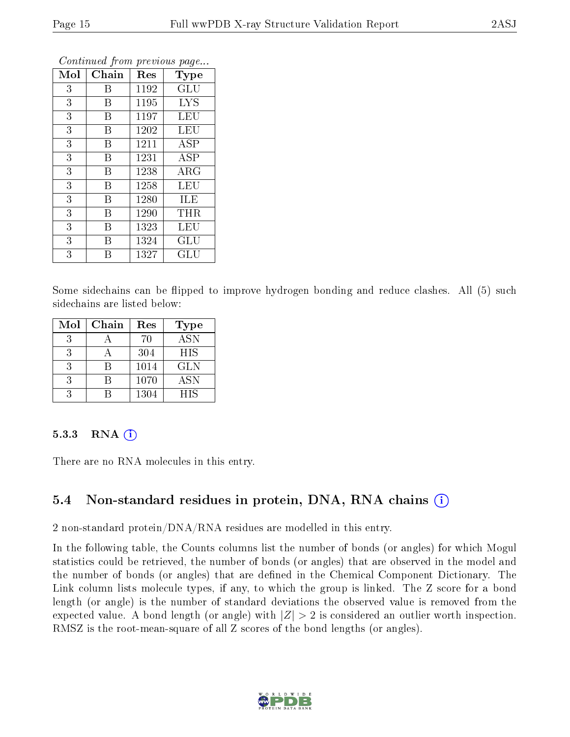| Mol | Chain | Res  | Type                 |
|-----|-------|------|----------------------|
| 3   | Β     | 1192 | GLU                  |
| 3   | B     | 1195 | <b>LYS</b>           |
| 3   | B     | 1197 | LEU                  |
| 3   | B     | 1202 | LEU                  |
| 3   | В     | 1211 | ASP                  |
| 3   | B     | 1231 | <b>ASP</b>           |
| 3   | B     | 1238 | $\rm{ARG}$           |
| 3   | B     | 1258 | <b>LEU</b>           |
| 3   | B     | 1280 | ILE                  |
| 3   | B     | 1290 | THR                  |
| 3   | B     | 1323 | LEU                  |
| 3   | B     | 1324 | $\operatorname{GLU}$ |
| 3   | В     | 1327 | GLU                  |

Some sidechains can be flipped to improve hydrogen bonding and reduce clashes. All (5) such sidechains are listed below:

| Mol | Chain | Res  | <b>Type</b>      |
|-----|-------|------|------------------|
|     |       | 70   | $\overline{ASN}$ |
| 3   |       | 304  | HIS              |
|     |       | 1014 | GLN              |
|     |       | 1070 | <b>ASN</b>       |
|     |       | 1304 | <b>HIS</b>       |

#### 5.3.3 RNA $(i)$

There are no RNA molecules in this entry.

#### 5.4 Non-standard residues in protein, DNA, RNA chains  $(i)$

2 non-standard protein/DNA/RNA residues are modelled in this entry.

In the following table, the Counts columns list the number of bonds (or angles) for which Mogul statistics could be retrieved, the number of bonds (or angles) that are observed in the model and the number of bonds (or angles) that are defined in the Chemical Component Dictionary. The Link column lists molecule types, if any, to which the group is linked. The Z score for a bond length (or angle) is the number of standard deviations the observed value is removed from the expected value. A bond length (or angle) with  $|Z| > 2$  is considered an outlier worth inspection. RMSZ is the root-mean-square of all Z scores of the bond lengths (or angles).

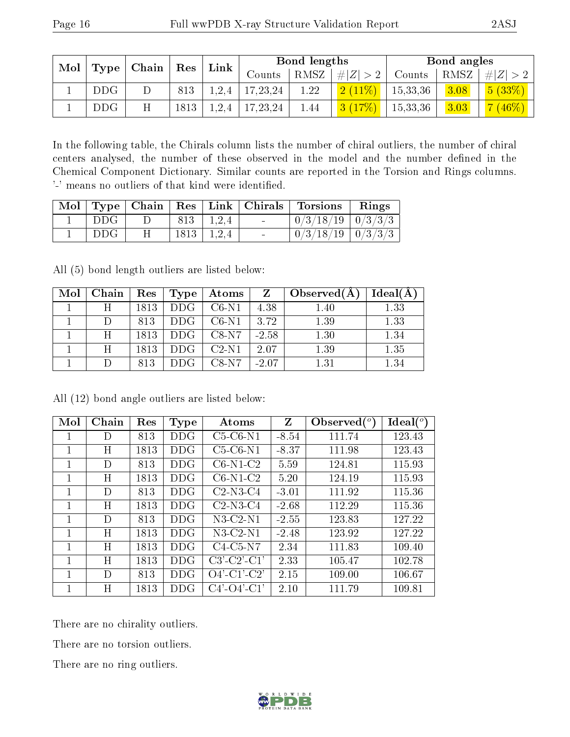| Mol | $\mid$ Chain $\mid$ Res |   |      | Bond lengths    |            |      | Bond angles |          |      |                      |
|-----|-------------------------|---|------|-----------------|------------|------|-------------|----------|------|----------------------|
|     | Type                    |   |      | $\mathbf{Link}$ | Counts     | RMSZ | # $ Z  > 2$ | Counts   | RMSZ | # $ Z  > 2$          |
|     | <b>DDG</b>              |   | 813  | 1,2,4           | 17, 23, 24 | 1.22 | $(2(11\%)$  | 15,33,36 | 3.08 | $\binom{5 (33\%)}{}$ |
|     | DDG                     | н | 1813 | 1,2,4           | 17, 23, 24 | 1.44 |             | 15,33,36 | 3.03 | 7(46%)               |

In the following table, the Chirals column lists the number of chiral outliers, the number of chiral centers analysed, the number of these observed in the model and the number defined in the Chemical Component Dictionary. Similar counts are reported in the Torsion and Rings columns. '-' means no outliers of that kind were identified.

|       |   |                |                       |                          | Mol   Type   Chain   Res   Link   Chirals   Torsions   Rings |  |
|-------|---|----------------|-----------------------|--------------------------|--------------------------------------------------------------|--|
| ∣ DDG |   |                | $813 \mid 1,2,4 \mid$ | <b>Service State</b>     | $\sqrt{0/3/18/19}$ $\sqrt{0/3/3/3}$                          |  |
| DDG   | Η | $1813$   1,2,4 |                       | <b>Contract Contract</b> | $\mid 0/3/18/19 \mid 0/3/3/3 \mid$                           |  |

All (5) bond length outliers are listed below:

| Mol | Chain | Res  | Type       | Atoms   |         | $\mid$ Observed(A) | Ideal(A) |
|-----|-------|------|------------|---------|---------|--------------------|----------|
|     |       | 1813 | <b>DDG</b> | $C6-N1$ | 4.38    | 1.40               | 1.33     |
|     |       | 813  | <b>DDG</b> | $C6-N1$ | 3.72    | 1.39               | 1.33     |
|     |       | 1813 | DDG.       | $C8-N7$ | $-2.58$ | 1.30               | 1.34     |
|     | H     | 1813 | DDG.       | $C2-N1$ | 2.07    | 1.39               | 1.35     |
|     |       | 813  | DDG.       | $C8-N7$ | $-2.07$ | 1.31               | 1.34     |

All (12) bond angle outliers are listed below:

| Mol | Chain | Res  | <b>Type</b> | Atoms                 | $\mathbf{Z}$ | Observed $({}^{\circ})$ | $\text{Ideal}({}^o)$ |
|-----|-------|------|-------------|-----------------------|--------------|-------------------------|----------------------|
|     | D     | 813  | DDG         | $C5-C6-N1$            | $-8.54$      | 111.74                  | 123.43               |
|     | Η     | 1813 | DDG         | $C5-C6-N1$            | $-8.37$      | 111.98                  | 123.43               |
| 1   | D     | 813  | DDG         | $C6-N1-C2$            | 5.59         | 124.81                  | 115.93               |
| 1   | Η     | 1813 | DDG         | $C6-N1-C2$            | 5.20         | 124.19                  | 115.93               |
|     | D     | 813  | DDG         | $C2-N3-C4$            | $-3.01$      | 111.92                  | 115.36               |
|     | Η     | 1813 | <b>DDG</b>  | $C2-N3-C4$            | $-2.68$      | 112.29                  | 115.36               |
| 1   | D     | 813  | DDG         | $N3-C2-N1$            | $-2.55$      | 123.83                  | 127.22               |
| 1   | Η     | 1813 | DDG         | $N3$ -C2- $N1$        | $-2.48$      | 123.92                  | 127.22               |
| 1   | H     | 1813 | DDG         | $C4-C5-N7$            | 2.34         | 111.83                  | 109.40               |
| 1   | H     | 1813 | DDG.        | $C3'-C2'-C1'$         | 2.33         | 105.47                  | 102.78               |
|     | D     | 813  | DDG.        | $O4'$ -C1'-C2'        | 2.15         | 109.00                  | 106.67               |
|     | H     | 1813 | DDG.        | $C4'$ - $O4'$ - $C1'$ | 2.10         | 111.79                  | 109.81               |

There are no chirality outliers.

There are no torsion outliers.

There are no ring outliers.

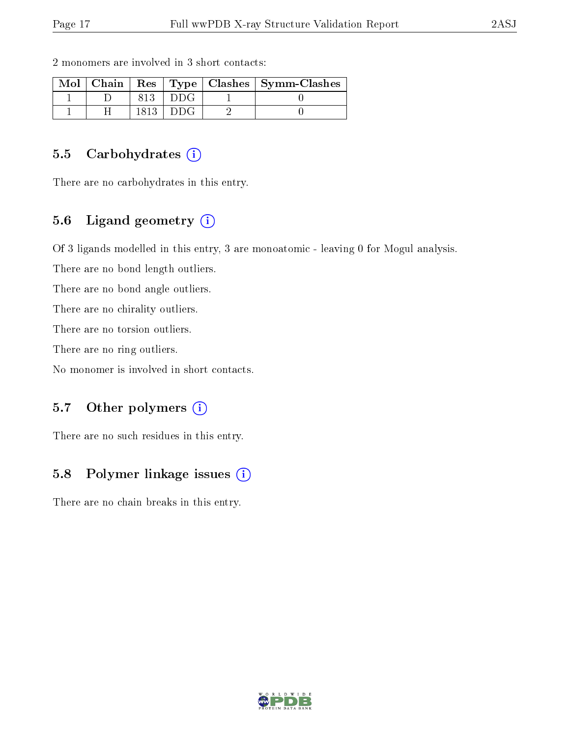| $Mol$   Chain |  | Res   Type   Clashes   Symm-Clashes |
|---------------|--|-------------------------------------|
|               |  |                                     |
|               |  |                                     |

2 monomers are involved in 3 short contacts:

#### 5.5 Carbohydrates  $(i)$

There are no carbohydrates in this entry.

#### 5.6 Ligand geometry (i)

Of 3 ligands modelled in this entry, 3 are monoatomic - leaving 0 for Mogul analysis.

There are no bond length outliers.

There are no bond angle outliers.

There are no chirality outliers.

There are no torsion outliers.

There are no ring outliers.

No monomer is involved in short contacts.

#### 5.7 [O](https://www.wwpdb.org/validation/2017/XrayValidationReportHelp#nonstandard_residues_and_ligands)ther polymers  $(i)$

There are no such residues in this entry.

#### 5.8 Polymer linkage issues  $(i)$

There are no chain breaks in this entry.

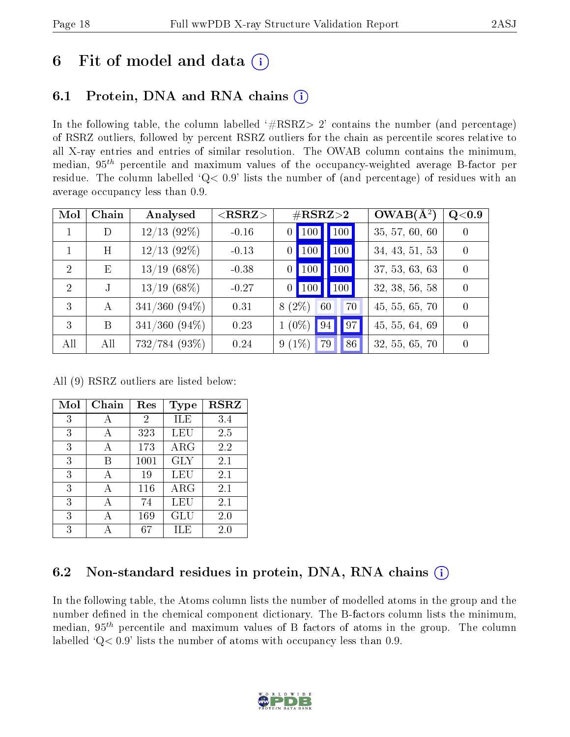## 6 Fit of model and data  $(i)$

## 6.1 Protein, DNA and RNA chains (i)

In the following table, the column labelled  $#RSRZ> 2'$  contains the number (and percentage) of RSRZ outliers, followed by percent RSRZ outliers for the chain as percentile scores relative to all X-ray entries and entries of similar resolution. The OWAB column contains the minimum, median,  $95<sup>th</sup>$  percentile and maximum values of the occupancy-weighted average B-factor per residue. The column labelled ' $Q< 0.9$ ' lists the number of (and percentage) of residues with an average occupancy less than 0.9.

| Mol           | Chain        | Analysed           | ${ <\hspace{-1.5pt}{\mathrm{RSRZ}} \hspace{-1.5pt}>}$ | $\#\text{RSRZ}{>}2$                      | $OWAB(A^2)$    | Q <sub>0.9</sub> |
|---------------|--------------|--------------------|-------------------------------------------------------|------------------------------------------|----------------|------------------|
|               | D            | $12/13$ (92%)      | $-0.16$                                               | $\mid$ 100 $\mid$<br>$\vert$ 100 $\vert$ | 35, 57, 60, 60 | $\left( \right)$ |
|               | Η            | $12/13$ (92\%)     | $-0.13$                                               | 100<br>$\vert$ 100                       | 34, 43, 51, 53 | $\Omega$         |
| $\mathcal{D}$ | E            | $13/19$ (68%)      | $-0.38$                                               | 100<br><b>100</b>                        | 37, 53, 63, 63 | $\Omega$         |
| 2             | $\mathbf{J}$ | $13/19$ (68\%)     | $-0.27$                                               | 100<br>$0$   100                         | 32, 38, 56, 58 | $\Omega$         |
| 3             | А            | $341/360$ $(94\%)$ | 0.31                                                  | $8(2\%)$<br>70<br>60                     | 45, 55, 65, 70 | $\Omega$         |
| 3             | B            | $341/360$ $(94\%)$ | 0.23                                                  | 97<br>$1(0\%)$<br>$\sqrt{94}$            | 45, 55, 64, 69 | $\Omega$         |
| All           | All          | 732/784 (93%)      | 0.24                                                  | $9(1\%)$<br>86<br>79                     | 32, 55, 65, 70 |                  |

All (9) RSRZ outliers are listed below:

| Mol | Chain | Res  | <b>Type</b> | <b>RSRZ</b> |
|-----|-------|------|-------------|-------------|
| 3   | А     | 2    | ILE         | 3.4         |
| 3   | А     | 323  | LEU         | 2.5         |
| 3   | А     | 173  | $\rm{ARG}$  | 2.2         |
| 3   | B     | 1001 | <b>GLY</b>  | 2.1         |
| 3   | А     | 19   | LEU         | 2.1         |
| 3   | А     | 116  | $\rm{ARG}$  | 2.1         |
| 3   | А     | 74   | LEU         | 2.1         |
| 3   | А     | 169  | GLU         | 2.0         |
| 3   |       | 67   | ILE         | 2.0         |

### 6.2 Non-standard residues in protein, DNA, RNA chains  $(i)$

In the following table, the Atoms column lists the number of modelled atoms in the group and the number defined in the chemical component dictionary. The B-factors column lists the minimum, median,  $95<sup>th</sup>$  percentile and maximum values of B factors of atoms in the group. The column labelled  $Q < 0.9$ ' lists the number of atoms with occupancy less than 0.9.